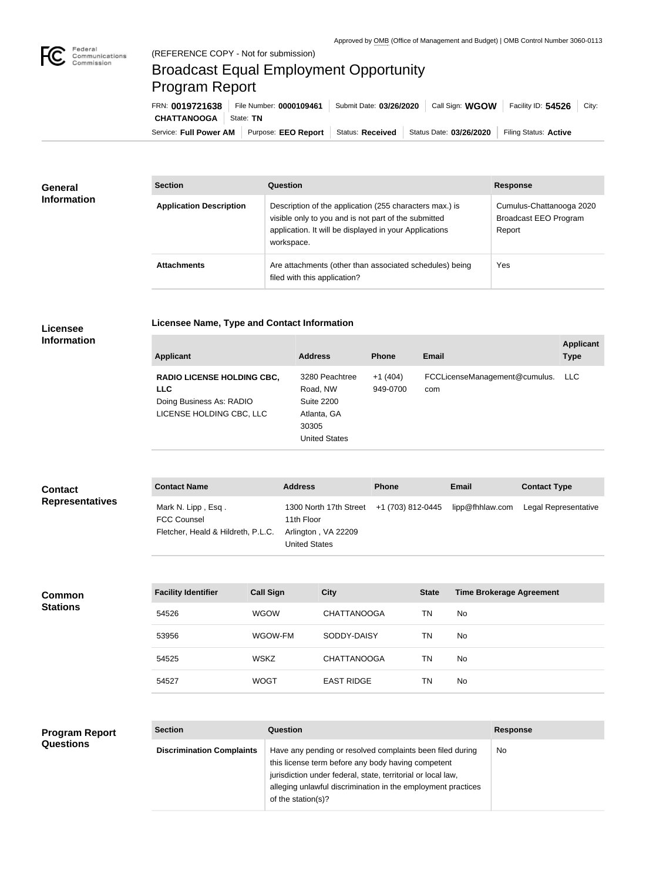

## Broadcast Equal Employment Opportunity Program Report

**Licensee Name, Type and Contact Information**

Service: Full Power AM | Purpose: EEO Report | Status: Received | Status Date: 03/26/2020 | Filing Status: Active **CHATTANOOGA** State: TN FRN: **0019721638** File Number: **0000109461** Submit Date: **03/26/2020** Call Sign: **WGOW** Facility ID: **54526** City:

| General<br><b>Information</b> | <b>Section</b>                 | Question                                                                                                                                                                                | <b>Response</b>                                             |  |
|-------------------------------|--------------------------------|-----------------------------------------------------------------------------------------------------------------------------------------------------------------------------------------|-------------------------------------------------------------|--|
|                               | <b>Application Description</b> | Description of the application (255 characters max.) is<br>visible only to you and is not part of the submitted<br>application. It will be displayed in your Applications<br>workspace. | Cumulus-Chattanooga 2020<br>Broadcast EEO Program<br>Report |  |
|                               | <b>Attachments</b>             | Are attachments (other than associated schedules) being<br>filed with this application?                                                                                                 | Yes                                                         |  |

## **Licensee Information**

| <b>Applicant</b>                                                                                        | <b>Address</b>                                                                                  | <b>Phone</b>          | Email                                | <b>Applicant</b><br><b>Type</b> |
|---------------------------------------------------------------------------------------------------------|-------------------------------------------------------------------------------------------------|-----------------------|--------------------------------------|---------------------------------|
| <b>RADIO LICENSE HOLDING CBC,</b><br><b>LLC</b><br>Doing Business As: RADIO<br>LICENSE HOLDING CBC, LLC | 3280 Peachtree<br>Road, NW<br><b>Suite 2200</b><br>Atlanta, GA<br>30305<br><b>United States</b> | $+1(404)$<br>949-0700 | FCCLicenseManagement@cumulus.<br>com | LLC.                            |

| <b>Contact</b><br><b>Representatives</b> | <b>Contact Name</b>                                                            |                  | <b>Address</b> |                                                                       | <b>Phone</b> |                                                                                                      | <b>Email</b> | <b>Contact Type</b>  |  |
|------------------------------------------|--------------------------------------------------------------------------------|------------------|----------------|-----------------------------------------------------------------------|--------------|------------------------------------------------------------------------------------------------------|--------------|----------------------|--|
|                                          | Mark N. Lipp, Esq.<br><b>FCC Counsel</b><br>Fletcher, Heald & Hildreth, P.L.C. |                  | 11th Floor     | 1300 North 17th Street<br>Arlington, VA 22209<br><b>United States</b> |              | +1 (703) 812-0445                                                                                    |              | Legal Representative |  |
|                                          |                                                                                |                  |                |                                                                       |              |                                                                                                      |              |                      |  |
| Common                                   | <b>Facility Identifier</b>                                                     | <b>Call Sign</b> |                | <b>City</b>                                                           |              | lipp@fhhlaw.com<br><b>Time Brokerage Agreement</b><br><b>State</b><br>T <sub>1</sub><br>$\mathbf{A}$ |              |                      |  |
| <b>Stations</b>                          | $F_{ATO}$                                                                      | $\frac{1}{2}$    |                | [[]]                                                                  |              |                                                                                                      |              |                      |  |

|       | $    -$     | ----               | $- - - - -$ |     |
|-------|-------------|--------------------|-------------|-----|
| 54526 | <b>WGOW</b> | <b>CHATTANOOGA</b> | TN          | No. |
| 53956 | WGOW-FM     | SODDY-DAISY        | ΤN          | No. |
| 54525 | <b>WSKZ</b> | <b>CHATTANOOGA</b> | ΤN          | No. |
| 54527 | <b>WOGT</b> | <b>EAST RIDGE</b>  | TN          | No  |

## **Program Report Questions**

| <b>Section</b>                   | Question                                                                                                                                                                                                                                                              | <b>Response</b> |
|----------------------------------|-----------------------------------------------------------------------------------------------------------------------------------------------------------------------------------------------------------------------------------------------------------------------|-----------------|
| <b>Discrimination Complaints</b> | Have any pending or resolved complaints been filed during<br>this license term before any body having competent<br>jurisdiction under federal, state, territorial or local law,<br>alleging unlawful discrimination in the employment practices<br>of the station(s)? | No.             |